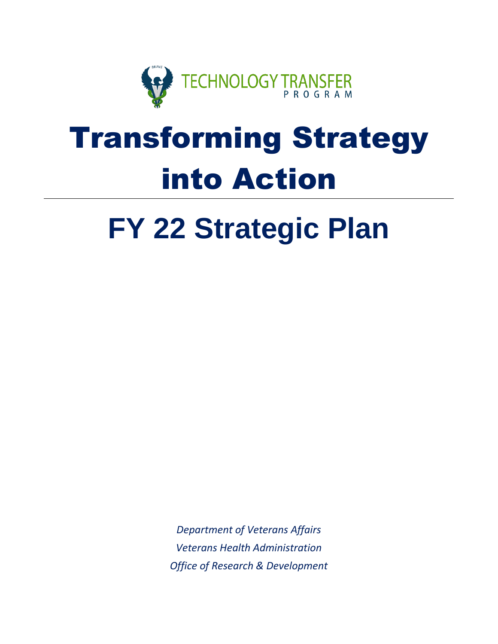

# Transforming Strategy into Action

## **FY 22 Strategic Plan**

*Department of Veterans Affairs Veterans Health Administration Office of Research & Development*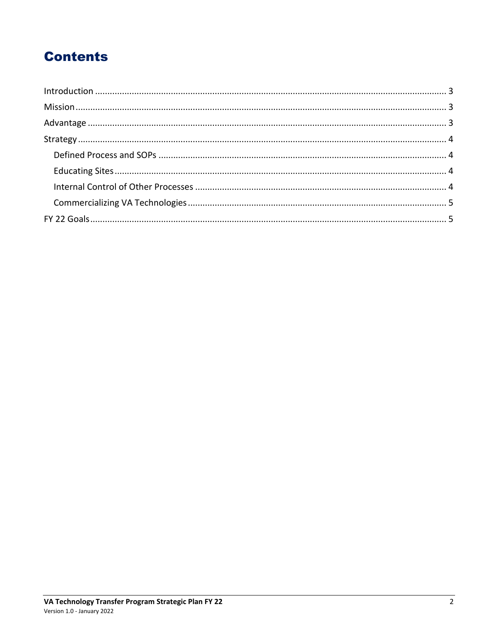#### **Contents**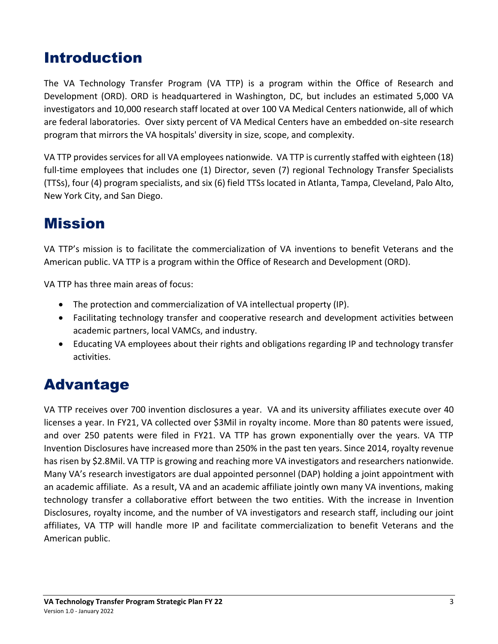## <span id="page-2-0"></span>Introduction

The VA Technology Transfer Program (VA TTP) is a program within the Office of Research and Development (ORD). ORD is headquartered in Washington, DC, but includes an estimated 5,000 VA investigators and 10,000 research staff located at over 100 VA Medical Centers nationwide, all of which are federal laboratories. Over sixty percent of VA Medical Centers have an embedded on-site research program that mirrors the VA hospitals' diversity in size, scope, and complexity.

VA TTP provides services for all VA employees nationwide. VA TTP is currently staffed with eighteen (18) full-time employees that includes one (1) Director, seven (7) regional Technology Transfer Specialists (TTSs), four (4) program specialists, and six (6) field TTSs located in Atlanta, Tampa, Cleveland, Palo Alto, New York City, and San Diego.

### <span id="page-2-1"></span>Mission

VA TTP's mission is to facilitate the commercialization of VA inventions to benefit Veterans and the American public. VA TTP is a program within the Office of Research and Development (ORD).

VA TTP has three main areas of focus:

- The protection and commercialization of VA intellectual property (IP).
- Facilitating technology transfer and cooperative research and development activities between academic partners, local VAMCs, and industry.
- Educating VA employees about their rights and obligations regarding IP and technology transfer activities.

## <span id="page-2-2"></span>Advantage

VA TTP receives over 700 invention disclosures a year. VA and its university affiliates execute over 40 licenses a year. In FY21, VA collected over \$3Mil in royalty income. More than 80 patents were issued, and over 250 patents were filed in FY21. VA TTP has grown exponentially over the years. VA TTP Invention Disclosures have increased more than 250% in the past ten years. Since 2014, royalty revenue has risen by \$2.8Mil. VA TTP is growing and reaching more VA investigators and researchers nationwide. Many VA's research investigators are dual appointed personnel (DAP) holding a joint appointment with an academic affiliate. As a result, VA and an academic affiliate jointly own many VA inventions, making technology transfer a collaborative effort between the two entities. With the increase in Invention Disclosures, royalty income, and the number of VA investigators and research staff, including our joint affiliates, VA TTP will handle more IP and facilitate commercialization to benefit Veterans and the American public.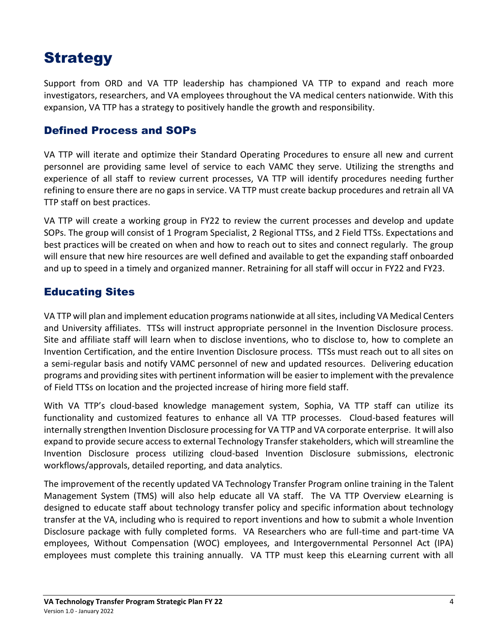## <span id="page-3-0"></span>**Strategy**

Support from ORD and VA TTP leadership has championed VA TTP to expand and reach more investigators, researchers, and VA employees throughout the VA medical centers nationwide. With this expansion, VA TTP has a strategy to positively handle the growth and responsibility.

#### <span id="page-3-1"></span>Defined Process and SOPs

VA TTP will iterate and optimize their Standard Operating Procedures to ensure all new and current personnel are providing same level of service to each VAMC they serve. Utilizing the strengths and experience of all staff to review current processes, VA TTP will identify procedures needing further refining to ensure there are no gaps in service. VA TTP must create backup procedures and retrain all VA TTP staff on best practices.

VA TTP will create a working group in FY22 to review the current processes and develop and update SOPs. The group will consist of 1 Program Specialist, 2 Regional TTSs, and 2 Field TTSs. Expectations and best practices will be created on when and how to reach out to sites and connect regularly. The group will ensure that new hire resources are well defined and available to get the expanding staff onboarded and up to speed in a timely and organized manner. Retraining for all staff will occur in FY22 and FY23.

#### <span id="page-3-3"></span><span id="page-3-2"></span>Educating Sites

VA TTP will plan and implement education programs nationwide at all sites, including VA Medical Centers and University affiliates. TTSs will instruct appropriate personnel in the Invention Disclosure process. Site and affiliate staff will learn when to disclose inventions, who to disclose to, how to complete an Invention Certification, and the entire Invention Disclosure process. TTSs must reach out to all sites on a semi-regular basis and notify VAMC personnel of new and updated resources. Delivering education programs and providing sites with pertinent information will be easier to implement with the prevalence of Field TTSs on location and the projected increase of hiring more field staff.

With VA TTP's cloud-based knowledge management system, Sophia, VA TTP staff can utilize its functionality and customized features to enhance all VA TTP processes. Cloud-based features will internally strengthen Invention Disclosure processing for VA TTP and VA corporate enterprise. It will also expand to provide secure access to external Technology Transfer stakeholders, which will streamline the Invention Disclosure process utilizing cloud-based Invention Disclosure submissions, electronic workflows/approvals, detailed reporting, and data analytics.

The improvement of the recently updated VA Technology Transfer Program online training in the Talent Management System (TMS) will also help educate all VA staff. The VA TTP Overview eLearning is designed to educate staff about technology transfer policy and specific information about technology transfer at the VA, including who is required to report inventions and how to submit a whole Invention Disclosure package with fully completed forms. VA Researchers who are full-time and part-time VA employees, Without Compensation (WOC) employees, and Intergovernmental Personnel Act (IPA) employees must complete this training annually. VA TTP must keep this eLearning current with all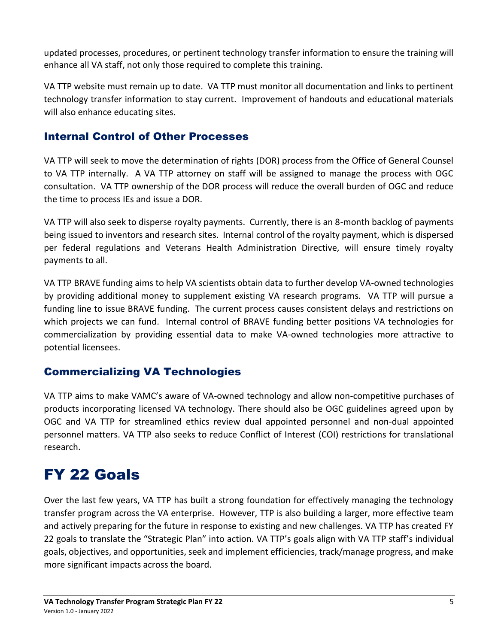updated processes, procedures, or pertinent technology transfer information to ensure the training will enhance all VA staff, not only those required to complete this training.

VA TTP website must remain up to date. VA TTP must monitor all documentation and links to pertinent technology transfer information to stay current. Improvement of handouts and educational materials will also enhance educating sites.

#### Internal Control of Other Processes

<span id="page-4-0"></span>VA TTP will seek to move the determination of rights (DOR) process from the Office of General Counsel to VA TTP internally. A VA TTP attorney on staff will be assigned to manage the process with OGC consultation. VA TTP ownership of the DOR process will reduce the overall burden of OGC and reduce the time to process IEs and issue a DOR.

VA TTP will also seek to disperse royalty payments. Currently, there is an 8-month backlog of payments being issued to inventors and research sites. Internal control of the royalty payment, which is dispersed per federal regulations and Veterans Health Administration Directive, will ensure timely royalty payments to all.

VA TTP BRAVE funding aims to help VA scientists obtain data to further develop VA-owned technologies by providing additional money to supplement existing VA research programs. VA TTP will pursue a funding line to issue BRAVE funding. The current process causes consistent delays and restrictions on which projects we can fund. Internal control of BRAVE funding better positions VA technologies for commercialization by providing essential data to make VA-owned technologies more attractive to potential licensees.

#### Commercializing VA Technologies

VA TTP aims to make VAMC's aware of VA-owned technology and allow non-competitive purchases of products incorporating licensed VA technology. There should also be OGC guidelines agreed upon by OGC and VA TTP for streamlined ethics review dual appointed personnel and non-dual appointed personnel matters. VA TTP also seeks to reduce Conflict of Interest (COI) restrictions for translational research.

## <span id="page-4-1"></span>FY 22 Goals

Over the last few years, VA TTP has built a strong foundation for effectively managing the technology transfer program across the VA enterprise. However, TTP is also building a larger, more effective team and actively preparing for the future in response to existing and new challenges. VA TTP has created FY 22 goals to translate the "Strategic Plan" into action. VA TTP's goals align with VA TTP staff's individual goals, objectives, and opportunities, seek and implement efficiencies, track/manage progress, and make more significant impacts across the board.